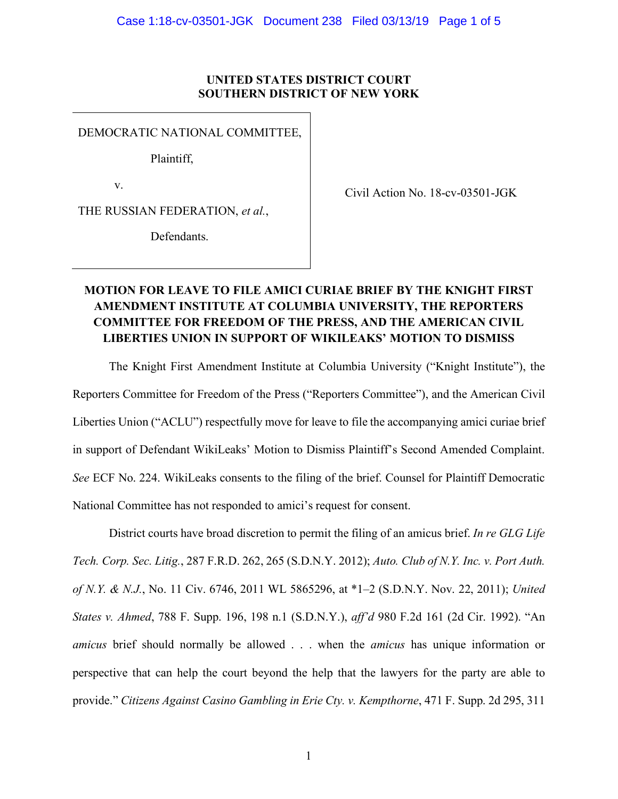## **UNITED STATES DISTRICT COURT SOUTHERN DISTRICT OF NEW YORK**

DEMOCRATIC NATIONAL COMMITTEE,

Plaintiff,

v.

Civil Action No. 18-cv-03501-JGK

THE RUSSIAN FEDERATION, *et al.*,

Defendants.

## **MOTION FOR LEAVE TO FILE AMICI CURIAE BRIEF BY THE KNIGHT FIRST AMENDMENT INSTITUTE AT COLUMBIA UNIVERSITY, THE REPORTERS COMMITTEE FOR FREEDOM OF THE PRESS, AND THE AMERICAN CIVIL LIBERTIES UNION IN SUPPORT OF WIKILEAKS' MOTION TO DISMISS**

The Knight First Amendment Institute at Columbia University ("Knight Institute"), the Reporters Committee for Freedom of the Press ("Reporters Committee"), and the American Civil Liberties Union ("ACLU") respectfully move for leave to file the accompanying amici curiae brief in support of Defendant WikiLeaks' Motion to Dismiss Plaintiff's Second Amended Complaint. *See* ECF No. 224. WikiLeaks consents to the filing of the brief. Counsel for Plaintiff Democratic National Committee has not responded to amici's request for consent.

District courts have broad discretion to permit the filing of an amicus brief. *In re GLG Life Tech. Corp. Sec. Litig.*, 287 F.R.D. 262, 265 (S.D.N.Y. 2012); *Auto. Club of N.Y. Inc. v. Port Auth. of N.Y. & N.J.*, No. 11 Civ. 6746, 2011 WL 5865296, at \*1–2 (S.D.N.Y. Nov. 22, 2011); *United States v. Ahmed*, 788 F. Supp. 196, 198 n.1 (S.D.N.Y.), *aff'd* 980 F.2d 161 (2d Cir. 1992). "An *amicus* brief should normally be allowed . . . when the *amicus* has unique information or perspective that can help the court beyond the help that the lawyers for the party are able to provide." *Citizens Against Casino Gambling in Erie Cty. v. Kempthorne*, 471 F. Supp. 2d 295, 311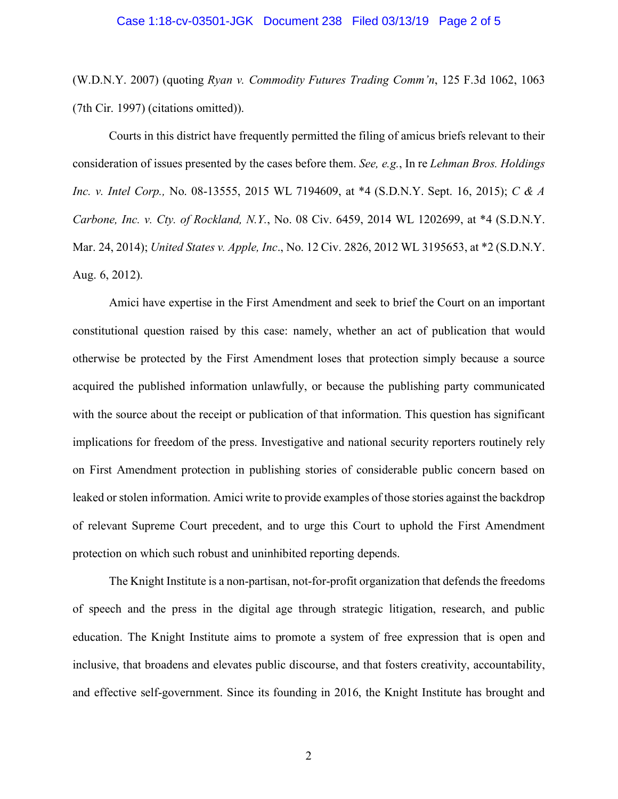#### Case 1:18-cv-03501-JGK Document 238 Filed 03/13/19 Page 2 of 5

(W.D.N.Y. 2007) (quoting *Ryan v. Commodity Futures Trading Comm'n*, 125 F.3d 1062, 1063 (7th Cir. 1997) (citations omitted)).

Courts in this district have frequently permitted the filing of amicus briefs relevant to their consideration of issues presented by the cases before them. *See, e.g.*, In re *Lehman Bros. Holdings Inc. v. Intel Corp.,* No. 08-13555, 2015 WL 7194609, at \*4 (S.D.N.Y. Sept. 16, 2015); *C & A Carbone, Inc. v. Cty. of Rockland, N.Y.*, No. 08 Civ. 6459, 2014 WL 1202699, at \*4 (S.D.N.Y. Mar. 24, 2014); *United States v. Apple, Inc*., No. 12 Civ. 2826, 2012 WL 3195653, at \*2 (S.D.N.Y. Aug. 6, 2012).

Amici have expertise in the First Amendment and seek to brief the Court on an important constitutional question raised by this case: namely, whether an act of publication that would otherwise be protected by the First Amendment loses that protection simply because a source acquired the published information unlawfully, or because the publishing party communicated with the source about the receipt or publication of that information. This question has significant implications for freedom of the press. Investigative and national security reporters routinely rely on First Amendment protection in publishing stories of considerable public concern based on leaked or stolen information. Amici write to provide examples of those stories against the backdrop of relevant Supreme Court precedent, and to urge this Court to uphold the First Amendment protection on which such robust and uninhibited reporting depends.

The Knight Institute is a non-partisan, not-for-profit organization that defends the freedoms of speech and the press in the digital age through strategic litigation, research, and public education. The Knight Institute aims to promote a system of free expression that is open and inclusive, that broadens and elevates public discourse, and that fosters creativity, accountability, and effective self-government. Since its founding in 2016, the Knight Institute has brought and

2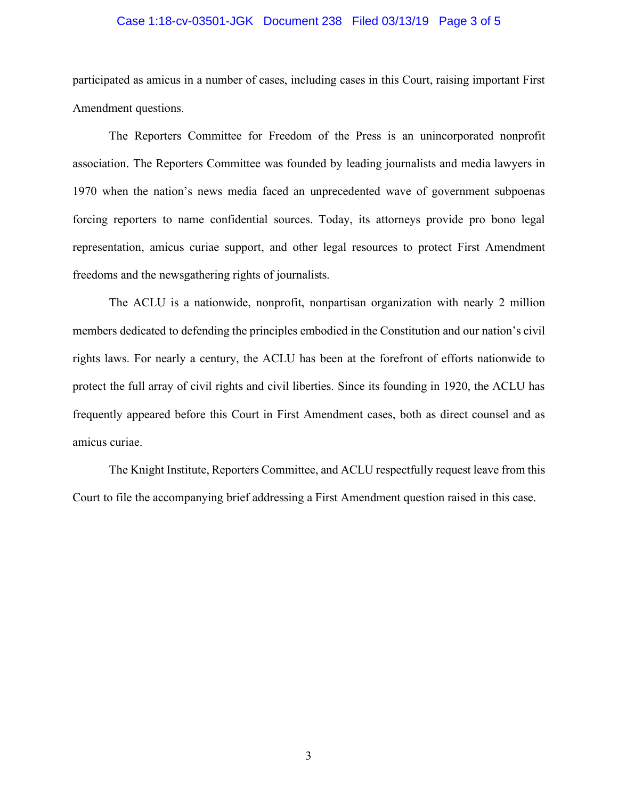#### Case 1:18-cv-03501-JGK Document 238 Filed 03/13/19 Page 3 of 5

participated as amicus in a number of cases, including cases in this Court, raising important First Amendment questions.

The Reporters Committee for Freedom of the Press is an unincorporated nonprofit association. The Reporters Committee was founded by leading journalists and media lawyers in 1970 when the nation's news media faced an unprecedented wave of government subpoenas forcing reporters to name confidential sources. Today, its attorneys provide pro bono legal representation, amicus curiae support, and other legal resources to protect First Amendment freedoms and the newsgathering rights of journalists.

The ACLU is a nationwide, nonprofit, nonpartisan organization with nearly 2 million members dedicated to defending the principles embodied in the Constitution and our nation's civil rights laws. For nearly a century, the ACLU has been at the forefront of efforts nationwide to protect the full array of civil rights and civil liberties. Since its founding in 1920, the ACLU has frequently appeared before this Court in First Amendment cases, both as direct counsel and as amicus curiae.

The Knight Institute, Reporters Committee, and ACLU respectfully request leave from this Court to file the accompanying brief addressing a First Amendment question raised in this case.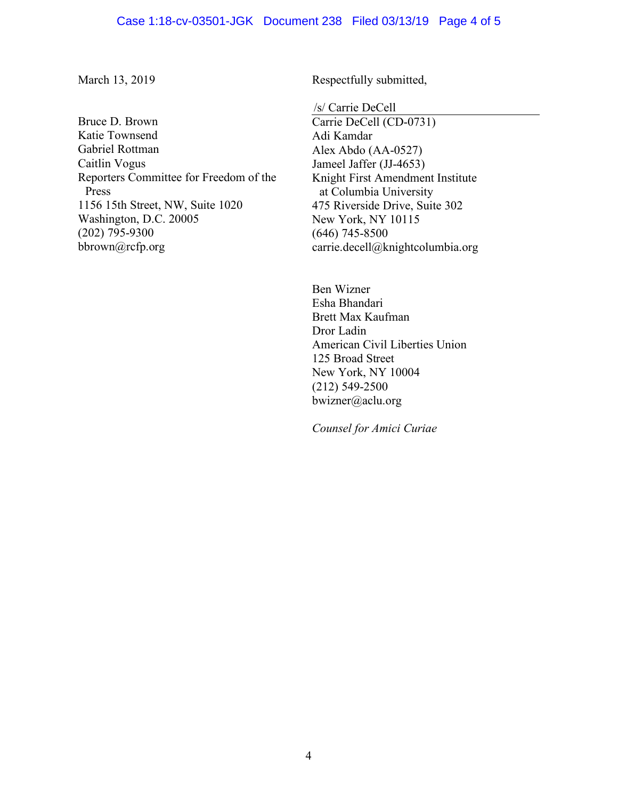#### Case 1:18-cv-03501-JGK Document 238 Filed 03/13/19 Page 4 of 5

March 13, 2019

Bruce D. Brown Katie Townsend Gabriel Rottman Caitlin Vogus Reporters Committee for Freedom of the Press 1156 15th Street, NW, Suite 1020 Washington, D.C. 20005 (202) 795-9300 bbrown@rcfp.org

Respectfully submitted,

/s/ Carrie DeCell

Carrie DeCell (CD-0731) Adi Kamdar Alex Abdo (AA-0527) Jameel Jaffer (JJ-4653) Knight First Amendment Institute at Columbia University 475 Riverside Drive, Suite 302 New York, NY 10115 (646) 745-8500 carrie.decell@knightcolumbia.org

Ben Wizner Esha Bhandari Brett Max Kaufman Dror Ladin American Civil Liberties Union 125 Broad Street New York, NY 10004 (212) 549-2500 bwizner@aclu.org

*Counsel for Amici Curiae*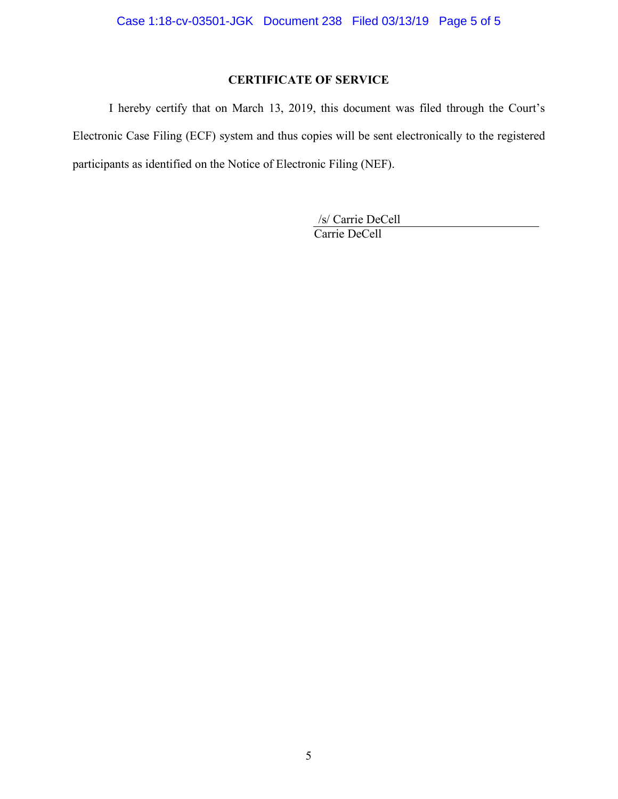# **CERTIFICATE OF SERVICE**

I hereby certify that on March 13, 2019, this document was filed through the Court's Electronic Case Filing (ECF) system and thus copies will be sent electronically to the registered participants as identified on the Notice of Electronic Filing (NEF).

> /s/ Carrie DeCell Carrie DeCell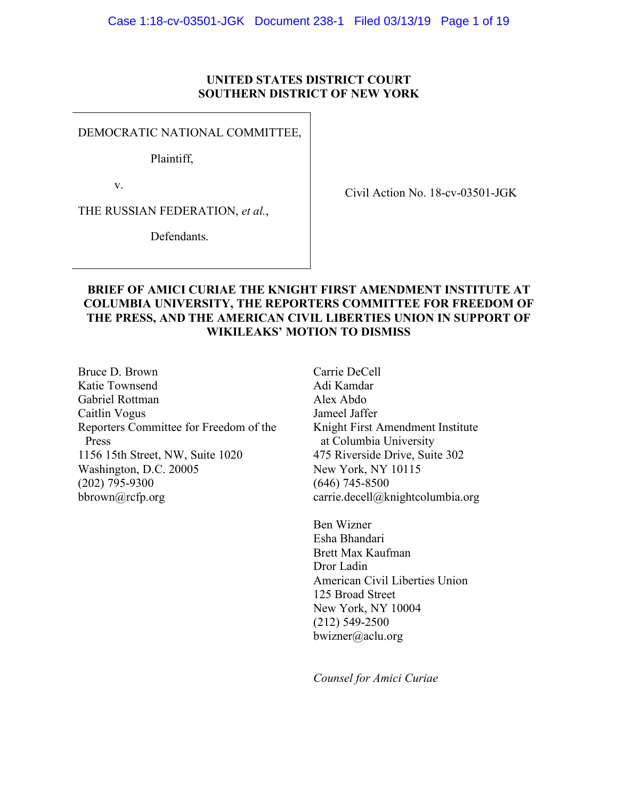## **UNITED STATES DISTRICT COURT SOUTHERN DISTRICT OF NEW YORK**

DEMOCRATIC NATIONAL COMMITTEE,

Plaintiff,

v.

THE RUSSIAN FEDERATION, *et al.*,

Defendants.

Civil Action No. 18-cv-03501-JGK

## **BRIEF OF AMICI CURIAE THE KNIGHT FIRST AMENDMENT INSTITUTE AT COLUMBIA UNIVERSITY, THE REPORTERS COMMITTEE FOR FREEDOM OF THE PRESS, AND THE AMERICAN CIVIL LIBERTIES UNION IN SUPPORT OF WIKILEAKS' MOTION TO DISMISS**

Bruce D. Brown Katie Townsend Gabriel Rottman Caitlin Vogus Reporters Committee for Freedom of the Press 1156 15th Street, NW, Suite 1020 Washington, D.C. 20005 (202) 795-9300 bbrown@rcfp.org

Carrie DeCell Adi Kamdar Alex Abdo Jameel Jaffer Knight First Amendment Institute at Columbia University 475 Riverside Drive, Suite 302 New York, NY 10115 (646) 745-8500 carrie.decell@knightcolumbia.org

Ben Wizner Esha Bhandari Brett Max Kaufman Dror Ladin American Civil Liberties Union 125 Broad Street New York, NY 10004 (212) 549-2500 bwizner@aclu.org

*Counsel for Amici Curiae*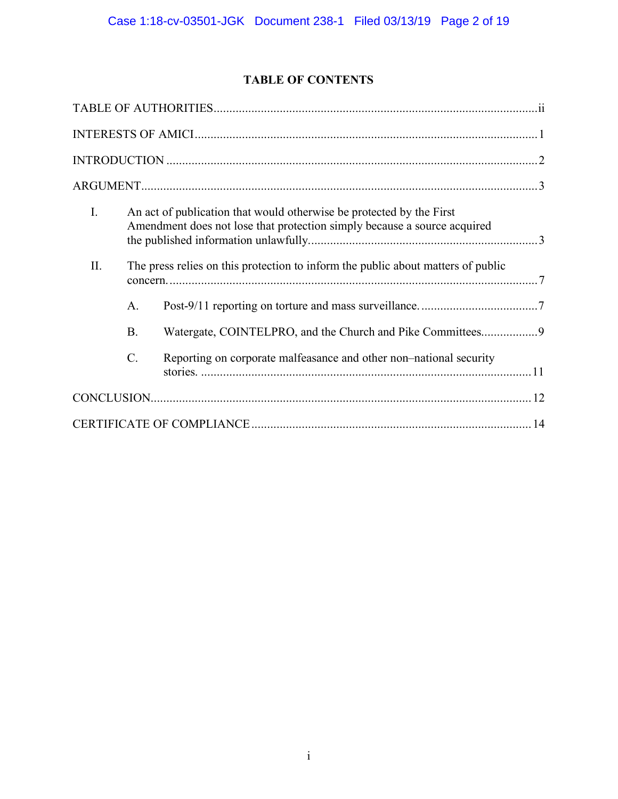# **TABLE OF CONTENTS**

| $\mathbf{I}$ . |                 | An act of publication that would otherwise be protected by the First<br>Amendment does not lose that protection simply because a source acquired |  |
|----------------|-----------------|--------------------------------------------------------------------------------------------------------------------------------------------------|--|
| II.            |                 | The press relies on this protection to inform the public about matters of public                                                                 |  |
|                | $A_{\cdot}$     |                                                                                                                                                  |  |
|                | <b>B.</b>       | Watergate, COINTELPRO, and the Church and Pike Committees9                                                                                       |  |
|                | $\mathcal{C}$ . | Reporting on corporate malfeasance and other non-national security                                                                               |  |
|                |                 |                                                                                                                                                  |  |
|                |                 |                                                                                                                                                  |  |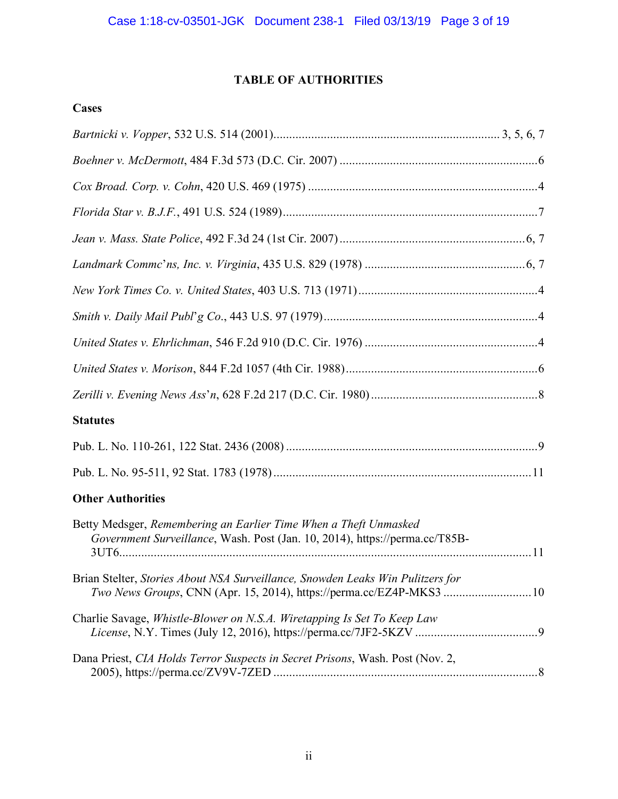# **TABLE OF AUTHORITIES**

# **Cases**

| <b>Statutes</b>                                                                                                                                            |  |
|------------------------------------------------------------------------------------------------------------------------------------------------------------|--|
|                                                                                                                                                            |  |
|                                                                                                                                                            |  |
| <b>Other Authorities</b>                                                                                                                                   |  |
| Betty Medsger, Remembering an Earlier Time When a Theft Unmasked<br>Government Surveillance, Wash. Post (Jan. 10, 2014), https://perma.cc/T85B-            |  |
| Brian Stelter, Stories About NSA Surveillance, Snowden Leaks Win Pulitzers for<br><i>Two News Groups, CNN (Apr. 15, 2014), https://perma.cc/EZ4P-MKS3 </i> |  |
| Charlie Savage, Whistle-Blower on N.S.A. Wiretapping Is Set To Keep Law                                                                                    |  |
| Dana Priest, CIA Holds Terror Suspects in Secret Prisons, Wash. Post (Nov. 2,                                                                              |  |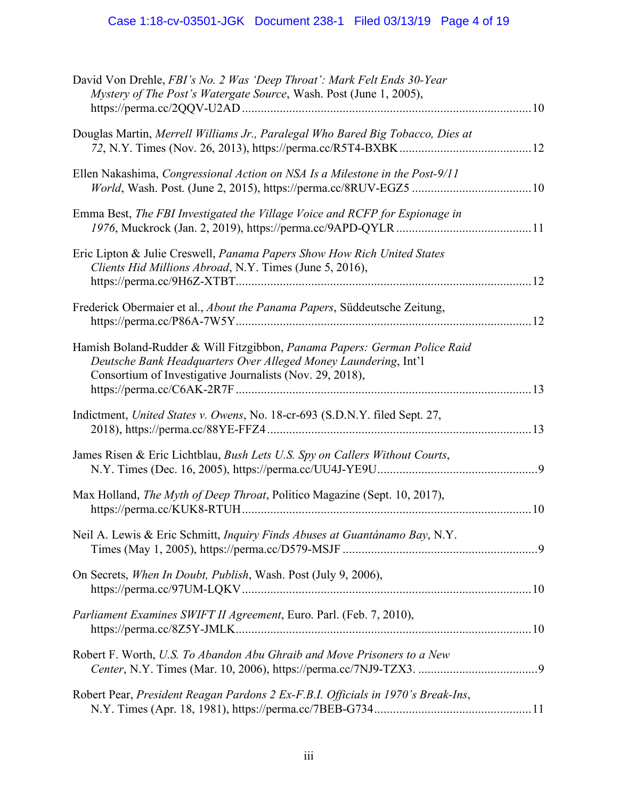# Case 1:18-cv-03501-JGK Document 238-1 Filed 03/13/19 Page 4 of 19

| .12 |
|-----|
|     |
|     |
|     |
| .10 |
|     |
|     |
|     |
|     |
|     |
|     |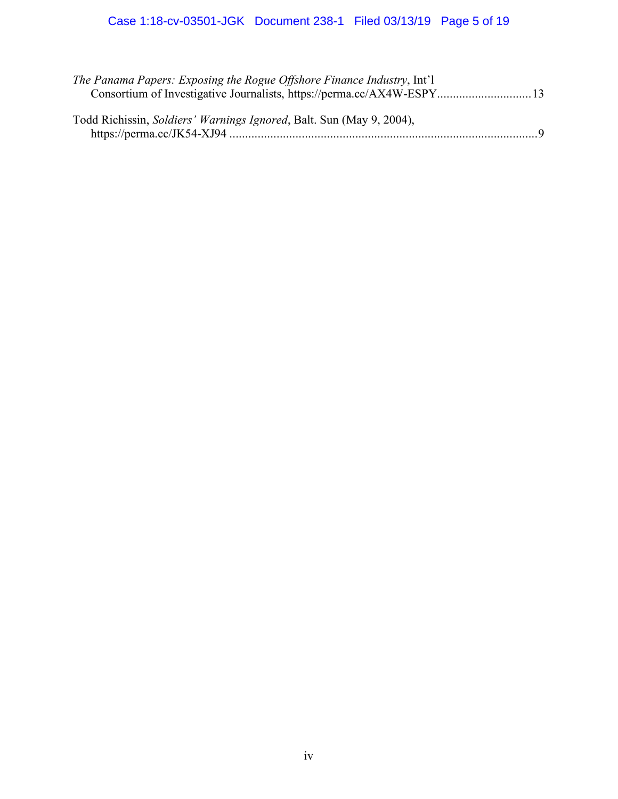| The Panama Papers: Exposing the Rogue Offshore Finance Industry, Int'l       |              |
|------------------------------------------------------------------------------|--------------|
| Consortium of Investigative Journalists, https://perma.cc/AX4W-ESPY 13       |              |
| Todd Richissin, <i>Soldiers' Warnings Ignored</i> , Balt. Sun (May 9, 2004), | $\mathbf{Q}$ |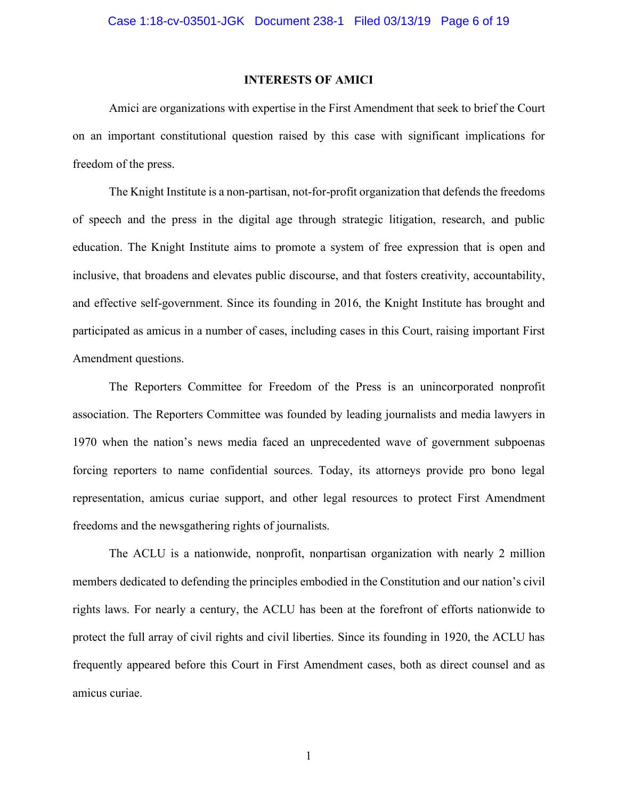#### **INTERESTS OF AMICI**

Amici are organizations with expertise in the First Amendment that seek to brief the Court on an important constitutional question raised by this case with significant implications for freedom of the press.

The Knight Institute is a non-partisan, not-for-profit organization that defends the freedoms of speech and the press in the digital age through strategic litigation, research, and public education. The Knight Institute aims to promote a system of free expression that is open and inclusive, that broadens and elevates public discourse, and that fosters creativity, accountability, and effective self-government. Since its founding in 2016, the Knight Institute has brought and participated as amicus in a number of cases, including cases in this Court, raising important First Amendment questions.

The Reporters Committee for Freedom of the Press is an unincorporated nonprofit association. The Reporters Committee was founded by leading journalists and media lawyers in 1970 when the nation's news media faced an unprecedented wave of government subpoenas forcing reporters to name confidential sources. Today, its attorneys provide pro bono legal representation, amicus curiae support, and other legal resources to protect First Amendment freedoms and the newsgathering rights of journalists.

The ACLU is a nationwide, nonprofit, nonpartisan organization with nearly 2 million members dedicated to defending the principles embodied in the Constitution and our nation's civil rights laws. For nearly a century, the ACLU has been at the forefront of efforts nationwide to protect the full array of civil rights and civil liberties. Since its founding in 1920, the ACLU has frequently appeared before this Court in First Amendment cases, both as direct counsel and as amicus curiae.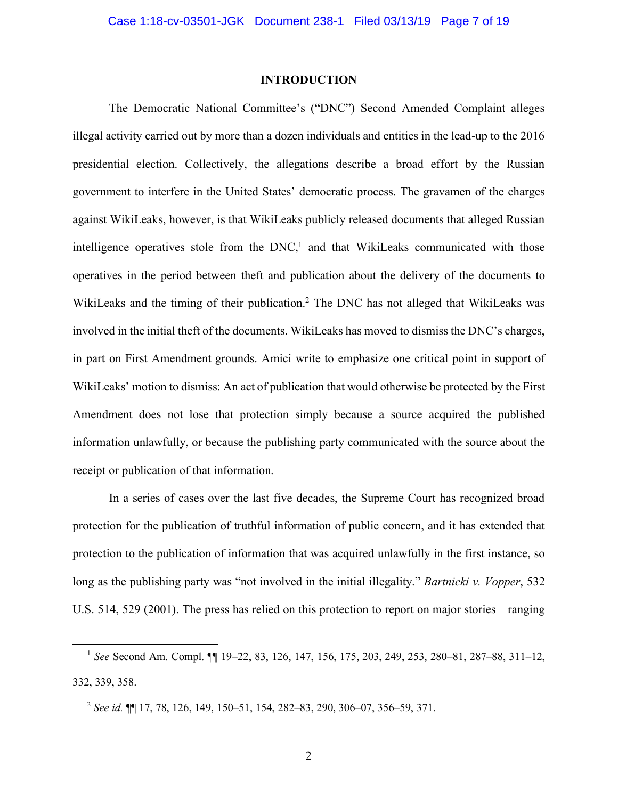#### **INTRODUCTION**

The Democratic National Committee's ("DNC") Second Amended Complaint alleges illegal activity carried out by more than a dozen individuals and entities in the lead-up to the 2016 presidential election. Collectively, the allegations describe a broad effort by the Russian government to interfere in the United States' democratic process. The gravamen of the charges against WikiLeaks, however, is that WikiLeaks publicly released documents that alleged Russian intelligence operatives stole from the  $DNC<sub>1</sub><sup>1</sup>$  and that WikiLeaks communicated with those operatives in the period between theft and publication about the delivery of the documents to WikiLeaks and the timing of their publication. <sup>2</sup> The DNC has not alleged that WikiLeaks was involved in the initial theft of the documents. WikiLeaks has moved to dismiss the DNC's charges, in part on First Amendment grounds. Amici write to emphasize one critical point in support of WikiLeaks' motion to dismiss: An act of publication that would otherwise be protected by the First Amendment does not lose that protection simply because a source acquired the published information unlawfully, or because the publishing party communicated with the source about the receipt or publication of that information.

In a series of cases over the last five decades, the Supreme Court has recognized broad protection for the publication of truthful information of public concern, and it has extended that protection to the publication of information that was acquired unlawfully in the first instance, so long as the publishing party was "not involved in the initial illegality." *Bartnicki v. Vopper*, 532 U.S. 514, 529 (2001). The press has relied on this protection to report on major stories—ranging

 <sup>1</sup> *See* Second Am. Compl. ¶¶ 19–22, 83, 126, 147, 156, 175, 203, 249, 253, 280–81, 287–88, 311–12, 332, 339, 358.

<sup>2</sup> *See id.* ¶¶ 17, 78, 126, 149, 150–51, 154, 282–83, 290, 306–07, 356–59, 371.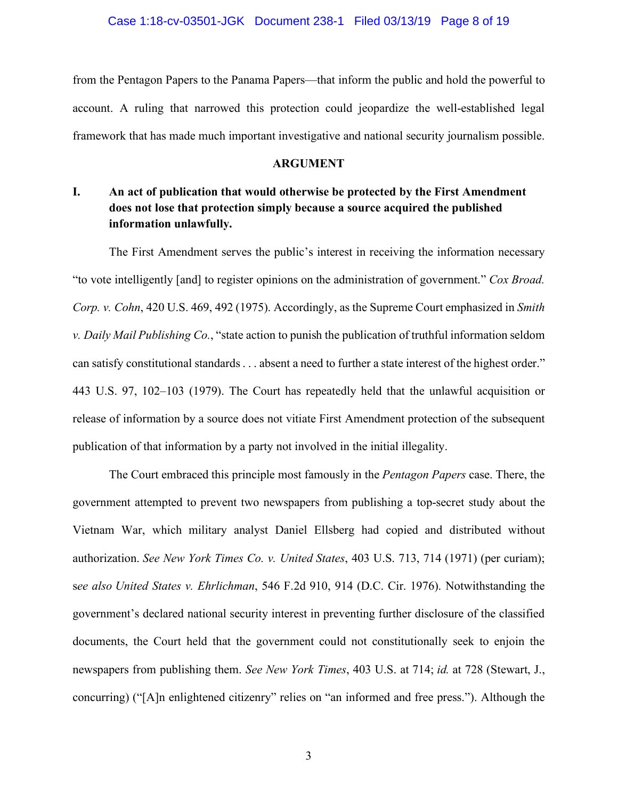from the Pentagon Papers to the Panama Papers—that inform the public and hold the powerful to account. A ruling that narrowed this protection could jeopardize the well-established legal framework that has made much important investigative and national security journalism possible.

#### **ARGUMENT**

## **I. An act of publication that would otherwise be protected by the First Amendment does not lose that protection simply because a source acquired the published information unlawfully.**

The First Amendment serves the public's interest in receiving the information necessary "to vote intelligently [and] to register opinions on the administration of government." *Cox Broad. Corp. v. Cohn*, 420 U.S. 469, 492 (1975). Accordingly, as the Supreme Court emphasized in *Smith v. Daily Mail Publishing Co.*, "state action to punish the publication of truthful information seldom can satisfy constitutional standards . . . absent a need to further a state interest of the highest order." 443 U.S. 97, 102–103 (1979). The Court has repeatedly held that the unlawful acquisition or release of information by a source does not vitiate First Amendment protection of the subsequent publication of that information by a party not involved in the initial illegality.

The Court embraced this principle most famously in the *Pentagon Papers* case. There, the government attempted to prevent two newspapers from publishing a top-secret study about the Vietnam War, which military analyst Daniel Ellsberg had copied and distributed without authorization. *See New York Times Co. v. United States*, 403 U.S. 713, 714 (1971) (per curiam); s*ee also United States v. Ehrlichman*, 546 F.2d 910, 914 (D.C. Cir. 1976). Notwithstanding the government's declared national security interest in preventing further disclosure of the classified documents, the Court held that the government could not constitutionally seek to enjoin the newspapers from publishing them. *See New York Times*, 403 U.S. at 714; *id.* at 728 (Stewart, J., concurring) ("[A]n enlightened citizenry" relies on "an informed and free press."). Although the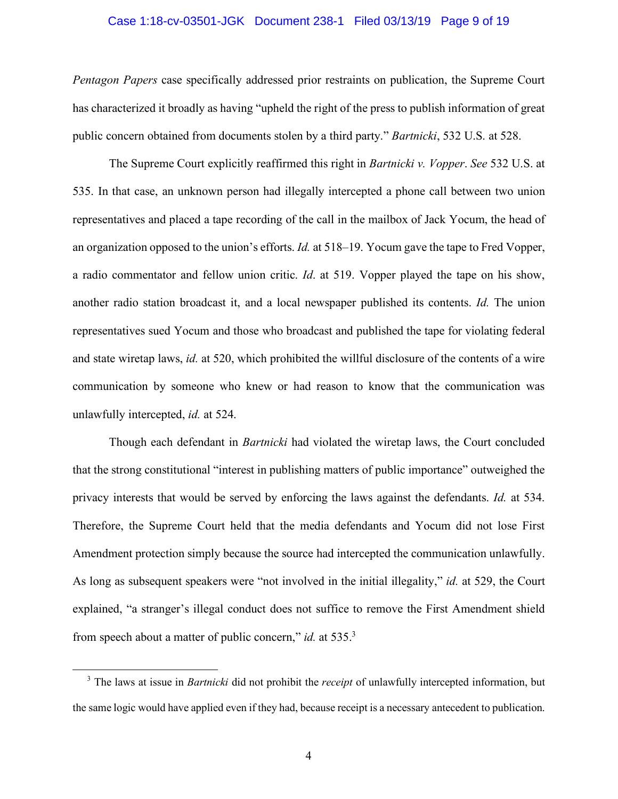#### Case 1:18-cv-03501-JGK Document 238-1 Filed 03/13/19 Page 9 of 19

*Pentagon Papers* case specifically addressed prior restraints on publication, the Supreme Court has characterized it broadly as having "upheld the right of the press to publish information of great public concern obtained from documents stolen by a third party." *Bartnicki*, 532 U.S. at 528.

The Supreme Court explicitly reaffirmed this right in *Bartnicki v. Vopper*. *See* 532 U.S. at 535. In that case, an unknown person had illegally intercepted a phone call between two union representatives and placed a tape recording of the call in the mailbox of Jack Yocum, the head of an organization opposed to the union's efforts. *Id.* at 518–19. Yocum gave the tape to Fred Vopper, a radio commentator and fellow union critic. *Id*. at 519. Vopper played the tape on his show, another radio station broadcast it, and a local newspaper published its contents. *Id.* The union representatives sued Yocum and those who broadcast and published the tape for violating federal and state wiretap laws, *id.* at 520, which prohibited the willful disclosure of the contents of a wire communication by someone who knew or had reason to know that the communication was unlawfully intercepted, *id.* at 524.

Though each defendant in *Bartnicki* had violated the wiretap laws, the Court concluded that the strong constitutional "interest in publishing matters of public importance" outweighed the privacy interests that would be served by enforcing the laws against the defendants. *Id.* at 534. Therefore, the Supreme Court held that the media defendants and Yocum did not lose First Amendment protection simply because the source had intercepted the communication unlawfully. As long as subsequent speakers were "not involved in the initial illegality," *id.* at 529, the Court explained, "a stranger's illegal conduct does not suffice to remove the First Amendment shield from speech about a matter of public concern," *id.* at 535.<sup>3</sup>

<sup>&</sup>lt;sup>3</sup> The laws at issue in *Bartnicki* did not prohibit the *receipt* of unlawfully intercepted information, but the same logic would have applied even if they had, because receipt is a necessary antecedent to publication.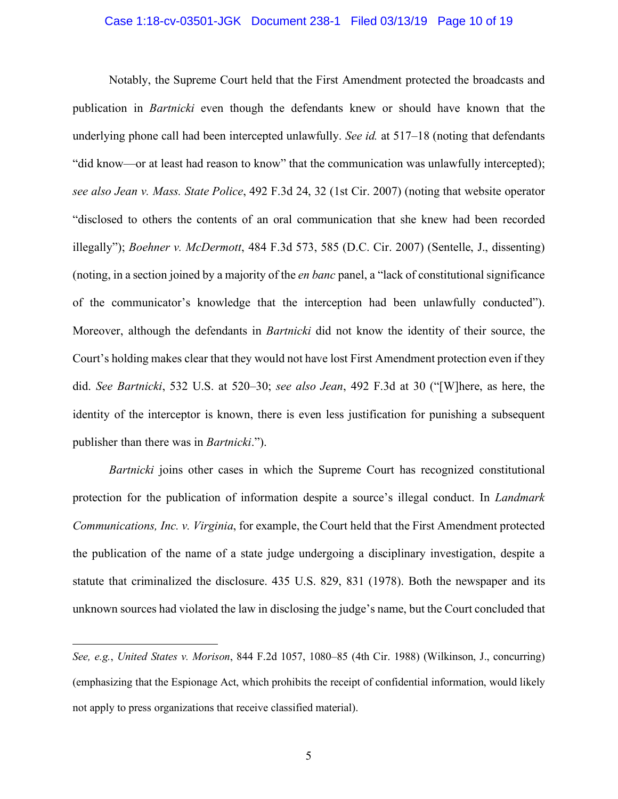#### Case 1:18-cv-03501-JGK Document 238-1 Filed 03/13/19 Page 10 of 19

Notably, the Supreme Court held that the First Amendment protected the broadcasts and publication in *Bartnicki* even though the defendants knew or should have known that the underlying phone call had been intercepted unlawfully. *See id.* at 517–18 (noting that defendants "did know—or at least had reason to know" that the communication was unlawfully intercepted); *see also Jean v. Mass. State Police*, 492 F.3d 24, 32 (1st Cir. 2007) (noting that website operator "disclosed to others the contents of an oral communication that she knew had been recorded illegally"); *Boehner v. McDermott*, 484 F.3d 573, 585 (D.C. Cir. 2007) (Sentelle, J., dissenting) (noting, in a section joined by a majority of the *en banc* panel, a "lack of constitutional significance of the communicator's knowledge that the interception had been unlawfully conducted"). Moreover, although the defendants in *Bartnicki* did not know the identity of their source, the Court's holding makes clear that they would not have lost First Amendment protection even if they did. *See Bartnicki*, 532 U.S. at 520–30; *see also Jean*, 492 F.3d at 30 ("[W]here, as here, the identity of the interceptor is known, there is even less justification for punishing a subsequent publisher than there was in *Bartnicki*.").

*Bartnicki* joins other cases in which the Supreme Court has recognized constitutional protection for the publication of information despite a source's illegal conduct. In *Landmark Communications, Inc. v. Virginia*, for example, the Court held that the First Amendment protected the publication of the name of a state judge undergoing a disciplinary investigation, despite a statute that criminalized the disclosure. 435 U.S. 829, 831 (1978). Both the newspaper and its unknown sources had violated the law in disclosing the judge's name, but the Court concluded that

 $\overline{a}$ 

*See, e.g.*, *United States v. Morison*, 844 F.2d 1057, 1080–85 (4th Cir. 1988) (Wilkinson, J., concurring) (emphasizing that the Espionage Act, which prohibits the receipt of confidential information, would likely not apply to press organizations that receive classified material).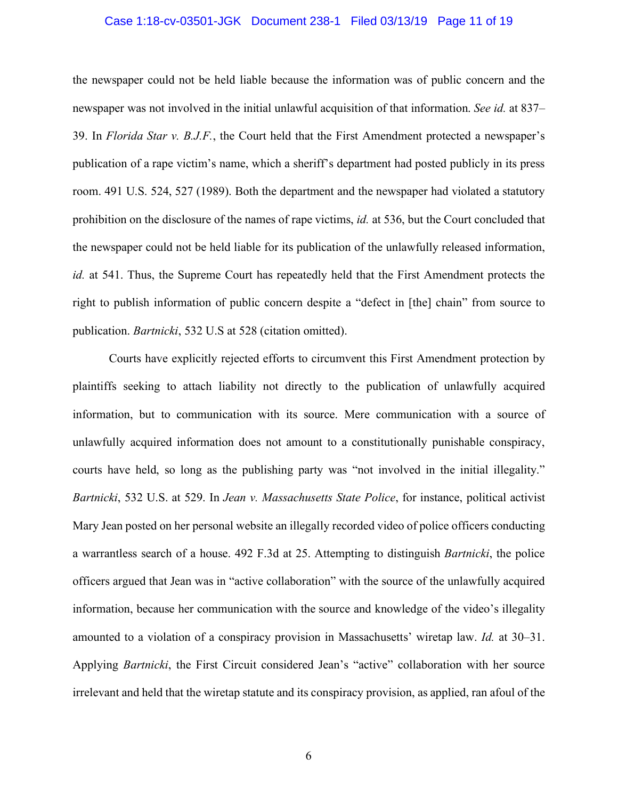#### Case 1:18-cv-03501-JGK Document 238-1 Filed 03/13/19 Page 11 of 19

the newspaper could not be held liable because the information was of public concern and the newspaper was not involved in the initial unlawful acquisition of that information. *See id.* at 837– 39. In *Florida Star v. B.J.F.*, the Court held that the First Amendment protected a newspaper's publication of a rape victim's name, which a sheriff's department had posted publicly in its press room. 491 U.S. 524, 527 (1989). Both the department and the newspaper had violated a statutory prohibition on the disclosure of the names of rape victims, *id.* at 536, but the Court concluded that the newspaper could not be held liable for its publication of the unlawfully released information, *id.* at 541. Thus, the Supreme Court has repeatedly held that the First Amendment protects the right to publish information of public concern despite a "defect in [the] chain" from source to publication. *Bartnicki*, 532 U.S at 528 (citation omitted).

Courts have explicitly rejected efforts to circumvent this First Amendment protection by plaintiffs seeking to attach liability not directly to the publication of unlawfully acquired information, but to communication with its source. Mere communication with a source of unlawfully acquired information does not amount to a constitutionally punishable conspiracy, courts have held, so long as the publishing party was "not involved in the initial illegality." *Bartnicki*, 532 U.S. at 529. In *Jean v. Massachusetts State Police*, for instance, political activist Mary Jean posted on her personal website an illegally recorded video of police officers conducting a warrantless search of a house. 492 F.3d at 25. Attempting to distinguish *Bartnicki*, the police officers argued that Jean was in "active collaboration" with the source of the unlawfully acquired information, because her communication with the source and knowledge of the video's illegality amounted to a violation of a conspiracy provision in Massachusetts' wiretap law. *Id.* at 30–31. Applying *Bartnicki*, the First Circuit considered Jean's "active" collaboration with her source irrelevant and held that the wiretap statute and its conspiracy provision, as applied, ran afoul of the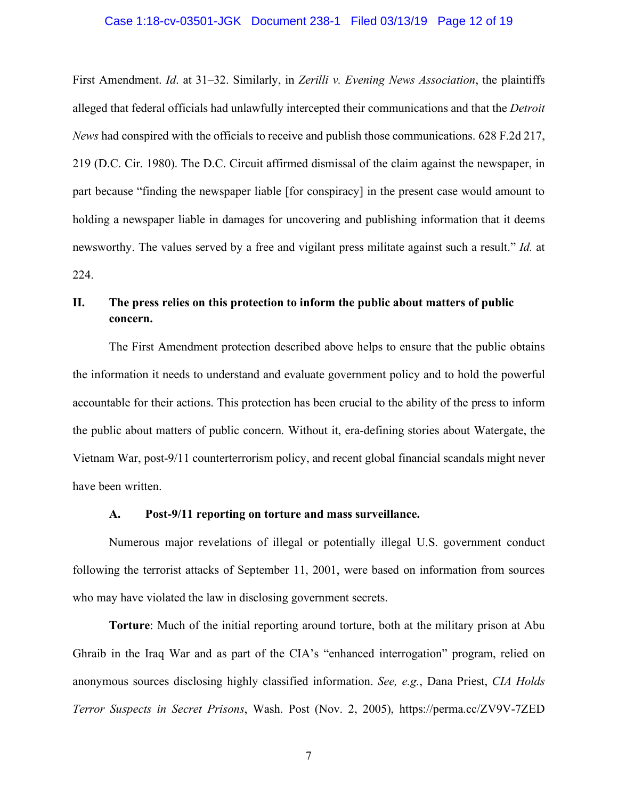#### Case 1:18-cv-03501-JGK Document 238-1 Filed 03/13/19 Page 12 of 19

First Amendment. *Id*. at 31–32. Similarly, in *Zerilli v. Evening News Association*, the plaintiffs alleged that federal officials had unlawfully intercepted their communications and that the *Detroit News* had conspired with the officials to receive and publish those communications. 628 F.2d 217, 219 (D.C. Cir. 1980). The D.C. Circuit affirmed dismissal of the claim against the newspaper, in part because "finding the newspaper liable [for conspiracy] in the present case would amount to holding a newspaper liable in damages for uncovering and publishing information that it deems newsworthy. The values served by a free and vigilant press militate against such a result." *Id.* at 224.

## **II. The press relies on this protection to inform the public about matters of public concern.**

The First Amendment protection described above helps to ensure that the public obtains the information it needs to understand and evaluate government policy and to hold the powerful accountable for their actions. This protection has been crucial to the ability of the press to inform the public about matters of public concern. Without it, era-defining stories about Watergate, the Vietnam War, post-9/11 counterterrorism policy, and recent global financial scandals might never have been written.

#### **A. Post-9/11 reporting on torture and mass surveillance.**

Numerous major revelations of illegal or potentially illegal U.S. government conduct following the terrorist attacks of September 11, 2001, were based on information from sources who may have violated the law in disclosing government secrets.

**Torture**: Much of the initial reporting around torture, both at the military prison at Abu Ghraib in the Iraq War and as part of the CIA's "enhanced interrogation" program, relied on anonymous sources disclosing highly classified information. *See, e.g.*, Dana Priest, *CIA Holds Terror Suspects in Secret Prisons*, Wash. Post (Nov. 2, 2005), https://perma.cc/ZV9V-7ZED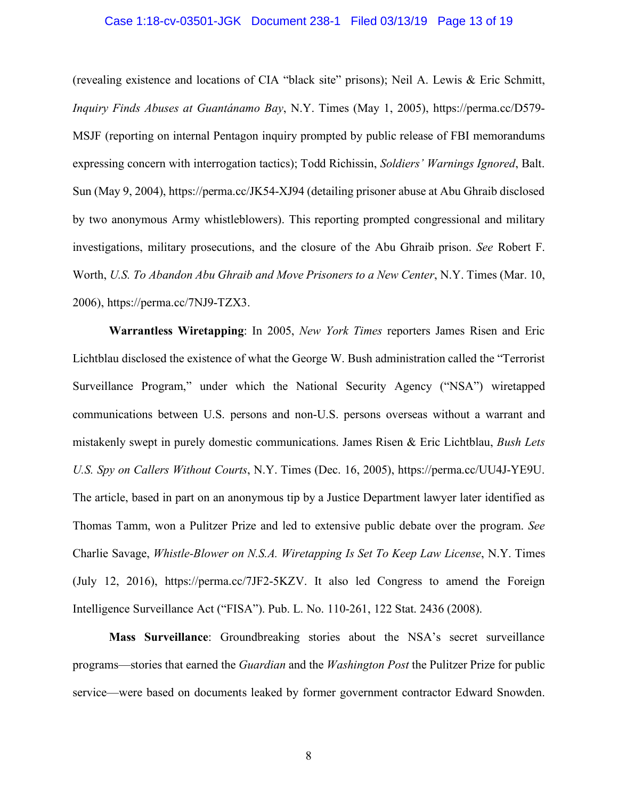#### Case 1:18-cv-03501-JGK Document 238-1 Filed 03/13/19 Page 13 of 19

(revealing existence and locations of CIA "black site" prisons); Neil A. Lewis & Eric Schmitt, *Inquiry Finds Abuses at Guantánamo Bay*, N.Y. Times (May 1, 2005), https://perma.cc/D579- MSJF (reporting on internal Pentagon inquiry prompted by public release of FBI memorandums expressing concern with interrogation tactics); Todd Richissin, *Soldiers' Warnings Ignored*, Balt. Sun (May 9, 2004), https://perma.cc/JK54-XJ94 (detailing prisoner abuse at Abu Ghraib disclosed by two anonymous Army whistleblowers). This reporting prompted congressional and military investigations, military prosecutions, and the closure of the Abu Ghraib prison. *See* Robert F. Worth, *U.S. To Abandon Abu Ghraib and Move Prisoners to a New Center*, N.Y. Times (Mar. 10, 2006), https://perma.cc/7NJ9-TZX3.

**Warrantless Wiretapping**: In 2005, *New York Times* reporters James Risen and Eric Lichtblau disclosed the existence of what the George W. Bush administration called the "Terrorist Surveillance Program," under which the National Security Agency ("NSA") wiretapped communications between U.S. persons and non-U.S. persons overseas without a warrant and mistakenly swept in purely domestic communications. James Risen & Eric Lichtblau, *Bush Lets U.S. Spy on Callers Without Courts*, N.Y. Times (Dec. 16, 2005), https://perma.cc/UU4J-YE9U. The article, based in part on an anonymous tip by a Justice Department lawyer later identified as Thomas Tamm, won a Pulitzer Prize and led to extensive public debate over the program. *See*  Charlie Savage, *Whistle-Blower on N.S.A. Wiretapping Is Set To Keep Law License*, N.Y. Times (July 12, 2016), https://perma.cc/7JF2-5KZV. It also led Congress to amend the Foreign Intelligence Surveillance Act ("FISA"). Pub. L. No. 110-261, 122 Stat. 2436 (2008).

**Mass Surveillance**: Groundbreaking stories about the NSA's secret surveillance programs—stories that earned the *Guardian* and the *Washington Post* the Pulitzer Prize for public service—were based on documents leaked by former government contractor Edward Snowden.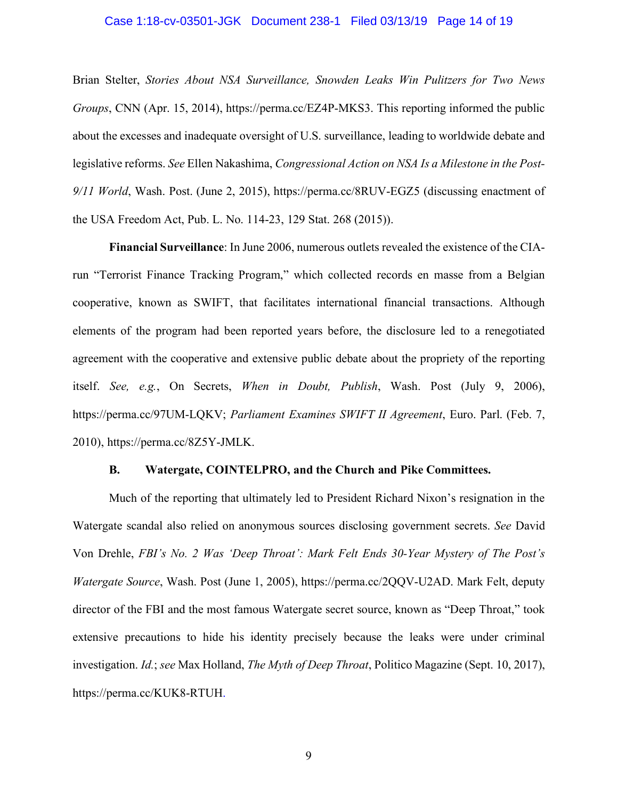#### Case 1:18-cv-03501-JGK Document 238-1 Filed 03/13/19 Page 14 of 19

Brian Stelter, *Stories About NSA Surveillance, Snowden Leaks Win Pulitzers for Two News Groups*, CNN (Apr. 15, 2014), https://perma.cc/EZ4P-MKS3. This reporting informed the public about the excesses and inadequate oversight of U.S. surveillance, leading to worldwide debate and legislative reforms. *See* Ellen Nakashima, *Congressional Action on NSA Is a Milestone in the Post-9/11 World*, Wash. Post. (June 2, 2015), https://perma.cc/8RUV-EGZ5 (discussing enactment of the USA Freedom Act, Pub. L. No. 114-23, 129 Stat. 268 (2015)).

**Financial Surveillance**: In June 2006, numerous outlets revealed the existence of the CIArun "Terrorist Finance Tracking Program," which collected records en masse from a Belgian cooperative, known as SWIFT, that facilitates international financial transactions. Although elements of the program had been reported years before, the disclosure led to a renegotiated agreement with the cooperative and extensive public debate about the propriety of the reporting itself. *See, e.g.*, On Secrets, *When in Doubt, Publish*, Wash. Post (July 9, 2006), https://perma.cc/97UM-LQKV; *Parliament Examines SWIFT II Agreement*, Euro. Parl. (Feb. 7, 2010), https://perma.cc/8Z5Y-JMLK.

#### **B. Watergate, COINTELPRO, and the Church and Pike Committees.**

Much of the reporting that ultimately led to President Richard Nixon's resignation in the Watergate scandal also relied on anonymous sources disclosing government secrets. *See* David Von Drehle, *FBI's No. 2 Was 'Deep Throat': Mark Felt Ends 30-Year Mystery of The Post's Watergate Source*, Wash. Post (June 1, 2005), https://perma.cc/2QQV-U2AD. Mark Felt, deputy director of the FBI and the most famous Watergate secret source, known as "Deep Throat," took extensive precautions to hide his identity precisely because the leaks were under criminal investigation. *Id.*; *see* Max Holland, *The Myth of Deep Throat*, Politico Magazine (Sept. 10, 2017), https://perma.cc/KUK8-RTUH.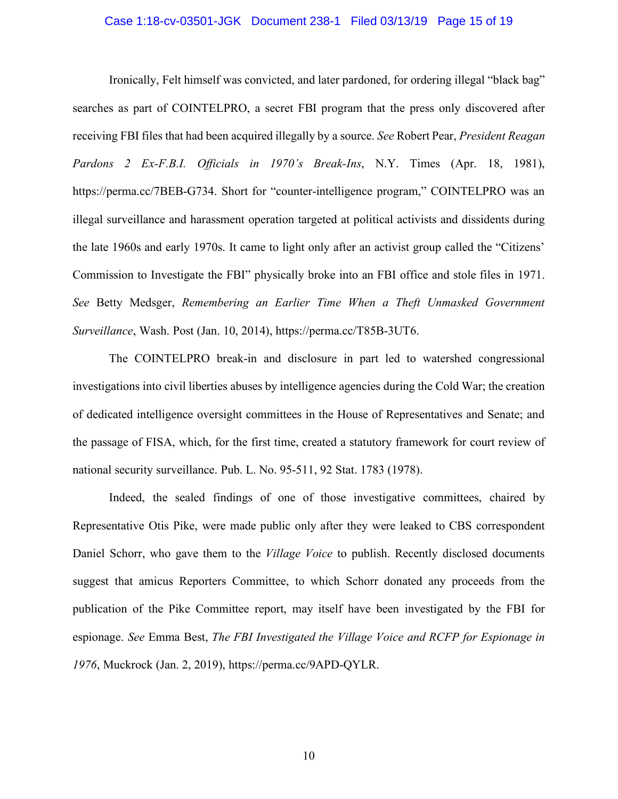#### Case 1:18-cv-03501-JGK Document 238-1 Filed 03/13/19 Page 15 of 19

Ironically, Felt himself was convicted, and later pardoned, for ordering illegal "black bag" searches as part of COINTELPRO, a secret FBI program that the press only discovered after receiving FBI files that had been acquired illegally by a source. *See* Robert Pear, *President Reagan Pardons 2 Ex-F.B.I. Officials in 1970's Break-Ins*, N.Y. Times (Apr. 18, 1981), https://perma.cc/7BEB-G734. Short for "counter-intelligence program," COINTELPRO was an illegal surveillance and harassment operation targeted at political activists and dissidents during the late 1960s and early 1970s. It came to light only after an activist group called the "Citizens' Commission to Investigate the FBI" physically broke into an FBI office and stole files in 1971. *See* Betty Medsger, *Remembering an Earlier Time When a Theft Unmasked Government Surveillance*, Wash. Post (Jan. 10, 2014), https://perma.cc/T85B-3UT6.

The COINTELPRO break-in and disclosure in part led to watershed congressional investigations into civil liberties abuses by intelligence agencies during the Cold War; the creation of dedicated intelligence oversight committees in the House of Representatives and Senate; and the passage of FISA, which, for the first time, created a statutory framework for court review of national security surveillance. Pub. L. No. 95-511, 92 Stat. 1783 (1978).

Indeed, the sealed findings of one of those investigative committees, chaired by Representative Otis Pike, were made public only after they were leaked to CBS correspondent Daniel Schorr, who gave them to the *Village Voice* to publish. Recently disclosed documents suggest that amicus Reporters Committee, to which Schorr donated any proceeds from the publication of the Pike Committee report, may itself have been investigated by the FBI for espionage. *See* Emma Best, *The FBI Investigated the Village Voice and RCFP for Espionage in 1976*, Muckrock (Jan. 2, 2019), https://perma.cc/9APD-QYLR.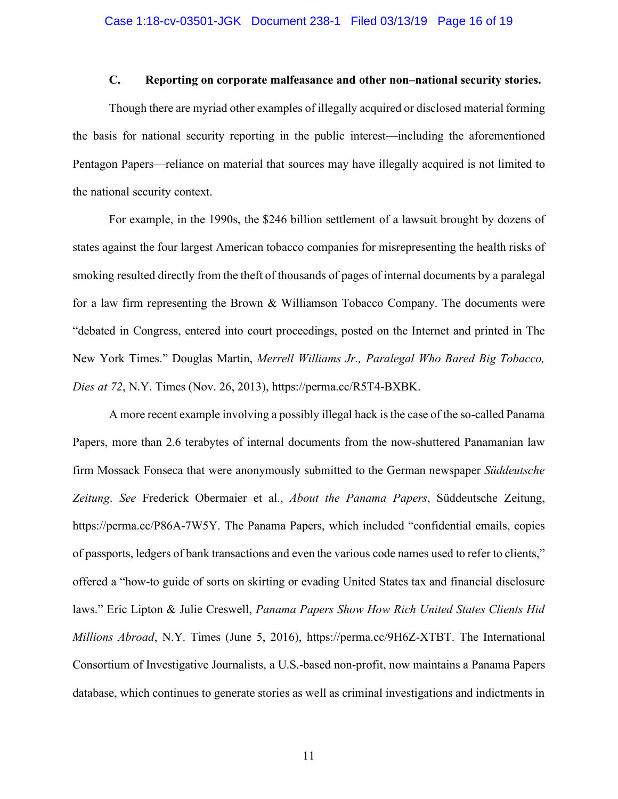## **C. Reporting on corporate malfeasance and other non–national security stories.**

Though there are myriad other examples of illegally acquired or disclosed material forming the basis for national security reporting in the public interest—including the aforementioned Pentagon Papers—reliance on material that sources may have illegally acquired is not limited to the national security context.

For example, in the 1990s, the \$246 billion settlement of a lawsuit brought by dozens of states against the four largest American tobacco companies for misrepresenting the health risks of smoking resulted directly from the theft of thousands of pages of internal documents by a paralegal for a law firm representing the Brown & Williamson Tobacco Company. The documents were "debated in Congress, entered into court proceedings, posted on the Internet and printed in The New York Times." Douglas Martin, *Merrell Williams Jr., Paralegal Who Bared Big Tobacco, Dies at 72*, N.Y. Times (Nov. 26, 2013), https://perma.cc/R5T4-BXBK.

A more recent example involving a possibly illegal hack is the case of the so-called Panama Papers, more than 2.6 terabytes of internal documents from the now-shuttered Panamanian law firm Mossack Fonseca that were anonymously submitted to the German newspaper *Süddeutsche Zeitung*. *See* Frederick Obermaier et al., *About the Panama Papers*, Süddeutsche Zeitung, https://perma.cc/P86A-7W5Y. The Panama Papers, which included "confidential emails, copies of passports, ledgers of bank transactions and even the various code names used to refer to clients," offered a "how-to guide of sorts on skirting or evading United States tax and financial disclosure laws." Eric Lipton & Julie Creswell, *Panama Papers Show How Rich United States Clients Hid Millions Abroad*, N.Y. Times (June 5, 2016), https://perma.cc/9H6Z-XTBT. The International Consortium of Investigative Journalists, a U.S.-based non-profit, now maintains a Panama Papers database, which continues to generate stories as well as criminal investigations and indictments in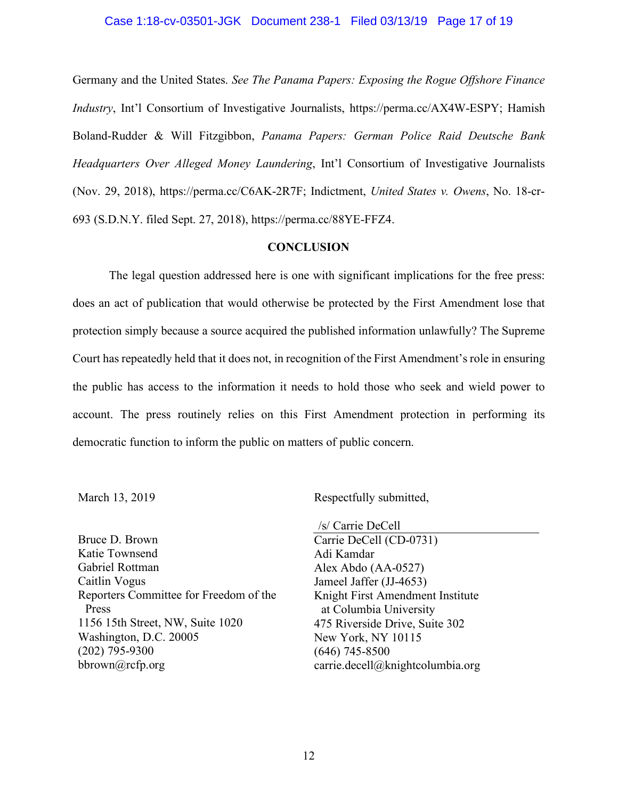#### Case 1:18-cv-03501-JGK Document 238-1 Filed 03/13/19 Page 17 of 19

Germany and the United States. *See The Panama Papers: Exposing the Rogue Offshore Finance Industry*, Int'l Consortium of Investigative Journalists, https://perma.cc/AX4W-ESPY; Hamish Boland-Rudder & Will Fitzgibbon, *Panama Papers: German Police Raid Deutsche Bank Headquarters Over Alleged Money Laundering*, Int'l Consortium of Investigative Journalists (Nov. 29, 2018), https://perma.cc/C6AK-2R7F; Indictment, *United States v. Owens*, No. 18-cr-693 (S.D.N.Y. filed Sept. 27, 2018), https://perma.cc/88YE-FFZ4.

#### **CONCLUSION**

The legal question addressed here is one with significant implications for the free press: does an act of publication that would otherwise be protected by the First Amendment lose that protection simply because a source acquired the published information unlawfully? The Supreme Court has repeatedly held that it does not, in recognition of the First Amendment's role in ensuring the public has access to the information it needs to hold those who seek and wield power to account. The press routinely relies on this First Amendment protection in performing its democratic function to inform the public on matters of public concern.

March 13, 2019

Respectfully submitted,

Bruce D. Brown Katie Townsend Gabriel Rottman Caitlin Vogus Reporters Committee for Freedom of the Press 1156 15th Street, NW, Suite 1020 Washington, D.C. 20005 (202) 795-9300 bbrown@rcfp.org

/s/ Carrie DeCell Carrie DeCell (CD-0731) Adi Kamdar Alex Abdo (AA-0527) Jameel Jaffer (JJ-4653) Knight First Amendment Institute at Columbia University 475 Riverside Drive, Suite 302 New York, NY 10115 (646) 745-8500 carrie.decell@knightcolumbia.org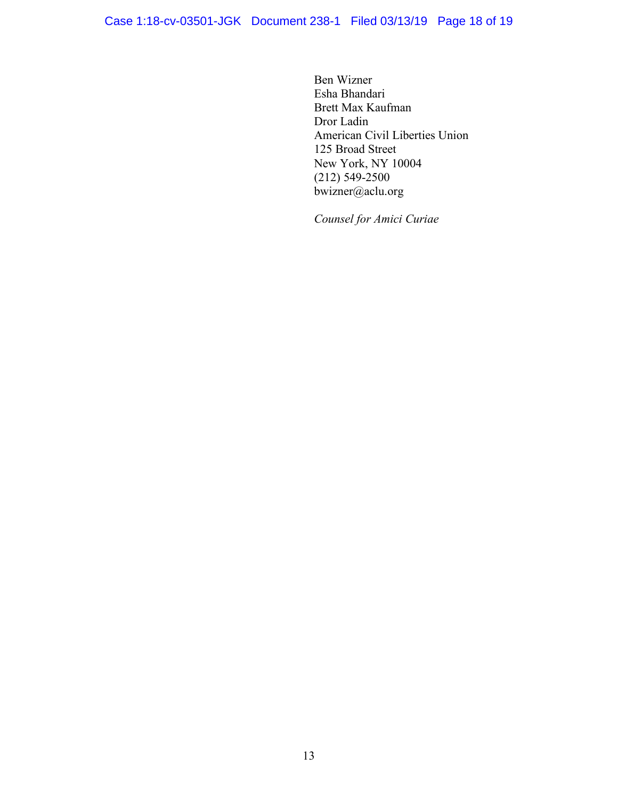Ben Wizner Esha Bhandari Brett Max Kaufman Dror Ladin American Civil Liberties Union 125 Broad Street New York, NY 10004 (212) 549-2500 bwizner@aclu.org

*Counsel for Amici Curiae*